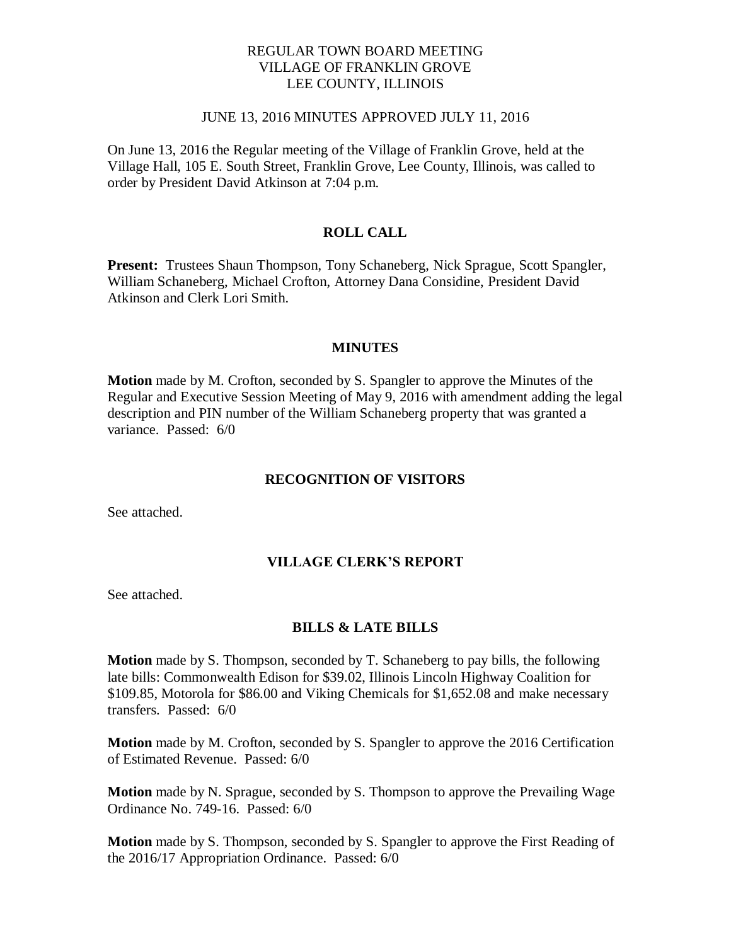### REGULAR TOWN BOARD MEETING VILLAGE OF FRANKLIN GROVE LEE COUNTY, ILLINOIS

#### JUNE 13, 2016 MINUTES APPROVED JULY 11, 2016

On June 13, 2016 the Regular meeting of the Village of Franklin Grove, held at the Village Hall, 105 E. South Street, Franklin Grove, Lee County, Illinois, was called to order by President David Atkinson at 7:04 p.m.

## **ROLL CALL**

**Present:** Trustees Shaun Thompson, Tony Schaneberg, Nick Sprague, Scott Spangler, William Schaneberg, Michael Crofton, Attorney Dana Considine, President David Atkinson and Clerk Lori Smith.

#### **MINUTES**

**Motion** made by M. Crofton, seconded by S. Spangler to approve the Minutes of the Regular and Executive Session Meeting of May 9, 2016 with amendment adding the legal description and PIN number of the William Schaneberg property that was granted a variance. Passed: 6/0

### **RECOGNITION OF VISITORS**

See attached.

#### **VILLAGE CLERK'S REPORT**

See attached.

#### **BILLS & LATE BILLS**

**Motion** made by S. Thompson, seconded by T. Schaneberg to pay bills, the following late bills: Commonwealth Edison for \$39.02, Illinois Lincoln Highway Coalition for \$109.85, Motorola for \$86.00 and Viking Chemicals for \$1,652.08 and make necessary transfers. Passed: 6/0

**Motion** made by M. Crofton, seconded by S. Spangler to approve the 2016 Certification of Estimated Revenue. Passed: 6/0

**Motion** made by N. Sprague, seconded by S. Thompson to approve the Prevailing Wage Ordinance No. 749-16. Passed: 6/0

**Motion** made by S. Thompson, seconded by S. Spangler to approve the First Reading of the 2016/17 Appropriation Ordinance. Passed: 6/0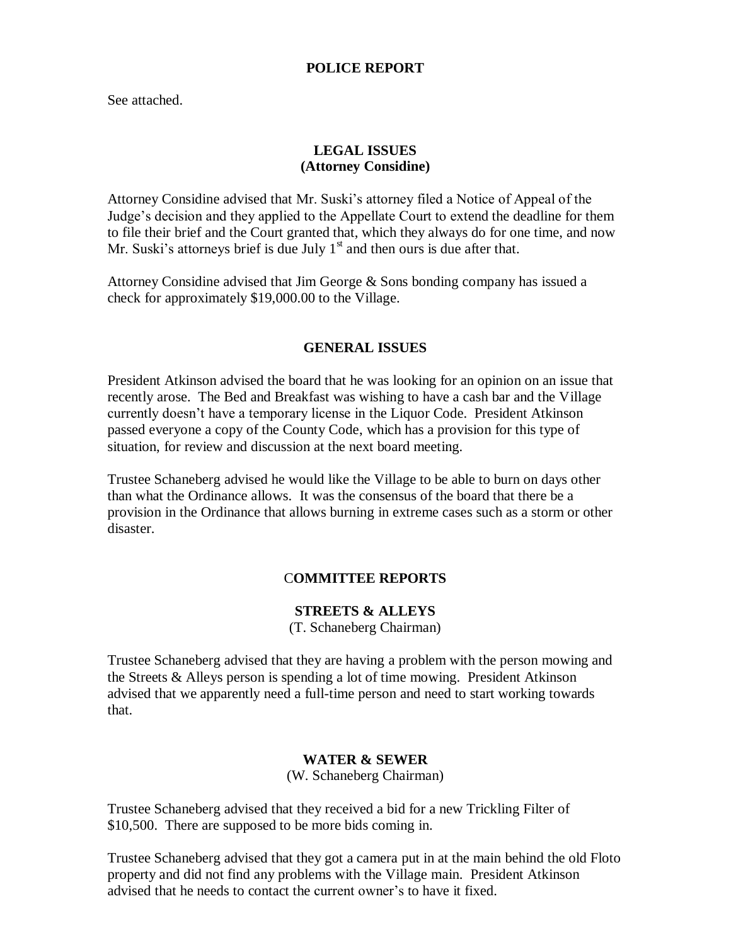### **POLICE REPORT**

See attached.

## **LEGAL ISSUES (Attorney Considine)**

Attorney Considine advised that Mr. Suski's attorney filed a Notice of Appeal of the Judge's decision and they applied to the Appellate Court to extend the deadline for them to file their brief and the Court granted that, which they always do for one time, and now Mr. Suski's attorneys brief is due July  $1<sup>st</sup>$  and then ours is due after that.

Attorney Considine advised that Jim George & Sons bonding company has issued a check for approximately \$19,000.00 to the Village.

### **GENERAL ISSUES**

President Atkinson advised the board that he was looking for an opinion on an issue that recently arose. The Bed and Breakfast was wishing to have a cash bar and the Village currently doesn't have a temporary license in the Liquor Code. President Atkinson passed everyone a copy of the County Code, which has a provision for this type of situation, for review and discussion at the next board meeting.

Trustee Schaneberg advised he would like the Village to be able to burn on days other than what the Ordinance allows. It was the consensus of the board that there be a provision in the Ordinance that allows burning in extreme cases such as a storm or other disaster.

## C**OMMITTEE REPORTS**

# **STREETS & ALLEYS**

(T. Schaneberg Chairman)

Trustee Schaneberg advised that they are having a problem with the person mowing and the Streets & Alleys person is spending a lot of time mowing. President Atkinson advised that we apparently need a full-time person and need to start working towards that.

#### **WATER & SEWER**

(W. Schaneberg Chairman)

Trustee Schaneberg advised that they received a bid for a new Trickling Filter of \$10,500. There are supposed to be more bids coming in.

Trustee Schaneberg advised that they got a camera put in at the main behind the old Floto property and did not find any problems with the Village main. President Atkinson advised that he needs to contact the current owner's to have it fixed.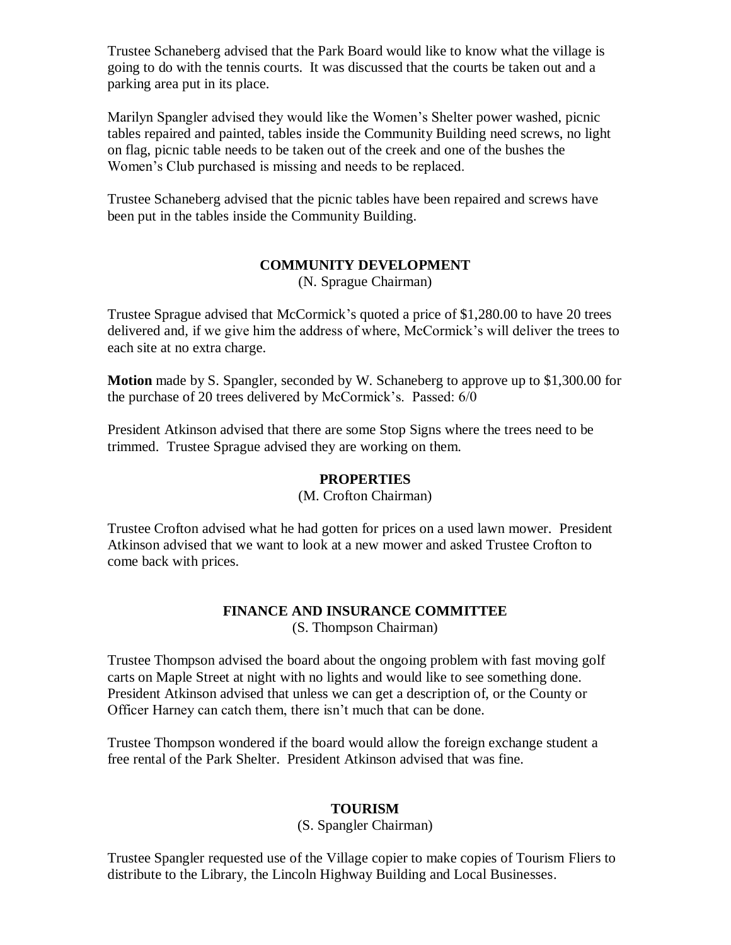Trustee Schaneberg advised that the Park Board would like to know what the village is going to do with the tennis courts. It was discussed that the courts be taken out and a parking area put in its place.

Marilyn Spangler advised they would like the Women's Shelter power washed, picnic tables repaired and painted, tables inside the Community Building need screws, no light on flag, picnic table needs to be taken out of the creek and one of the bushes the Women's Club purchased is missing and needs to be replaced.

Trustee Schaneberg advised that the picnic tables have been repaired and screws have been put in the tables inside the Community Building.

# **COMMUNITY DEVELOPMENT**

(N. Sprague Chairman)

Trustee Sprague advised that McCormick's quoted a price of \$1,280.00 to have 20 trees delivered and, if we give him the address of where, McCormick's will deliver the trees to each site at no extra charge.

**Motion** made by S. Spangler, seconded by W. Schaneberg to approve up to \$1,300.00 for the purchase of 20 trees delivered by McCormick's. Passed: 6/0

President Atkinson advised that there are some Stop Signs where the trees need to be trimmed. Trustee Sprague advised they are working on them.

## **PROPERTIES**

(M. Crofton Chairman)

Trustee Crofton advised what he had gotten for prices on a used lawn mower. President Atkinson advised that we want to look at a new mower and asked Trustee Crofton to come back with prices.

#### **FINANCE AND INSURANCE COMMITTEE** (S. Thompson Chairman)

Trustee Thompson advised the board about the ongoing problem with fast moving golf carts on Maple Street at night with no lights and would like to see something done. President Atkinson advised that unless we can get a description of, or the County or Officer Harney can catch them, there isn't much that can be done.

Trustee Thompson wondered if the board would allow the foreign exchange student a free rental of the Park Shelter. President Atkinson advised that was fine.

# **TOURISM**

(S. Spangler Chairman)

Trustee Spangler requested use of the Village copier to make copies of Tourism Fliers to distribute to the Library, the Lincoln Highway Building and Local Businesses.